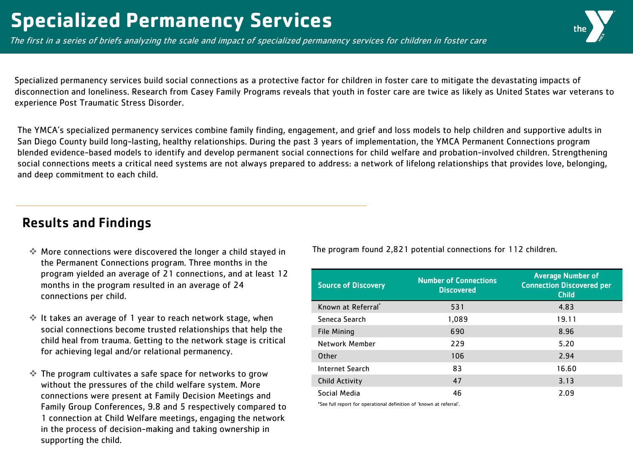The first in a series of briefs analyzing the scale and impact of specialized permanency services for children in foster care

Specialized permanency services build social connections as a protective factor for children in foster care to mitigate the devastating impacts of disconnection and loneliness. Research from Casey Family Programs reveals that youth in foster care are twice as likely as United States war veterans to experience Post Traumatic Stress Disorder.

The YMCA's specialized permanency services combine family finding, engagement, and grief and loss models to help children and supportive adults in San Diego County build long-lasting, healthy relationships. During the past 3 years of implementation, the YMCA Permanent Connections program blended evidence-based models to identify and develop permanent social connections for child welfare and probation-involved children. Strengthening social connections meets a critical need systems are not always prepared to address: a network of lifelong relationships that provides love, belonging, and deep commitment to each child.

# Results and Findings

- $\cdot$  More connections were discovered the longer a child stayed in Fhe program found 2,821 potential connections for 112 children. the Permanent Connections program. Three months in the program yielded an average of 21 connections, and at least 12 months in the program resulted in an average of 24 connections per child.
- It takes an average of 1 year to reach network stage, when social connections become trusted relationships that help the child heal from trauma. Getting to the network stage is critical for achieving legal and/or relational permanency.
- The program cultivates a safe space for networks to grow without the pressures of the child welfare system. More connections were present at Family Decision Meetings and Family Group Conferences, 9.8 and 5 respectively compared to 1 connection at Child Welfare meetings, engaging the network in the process of decision-making and taking ownership in supporting the child.

| <b>Source of Discovery</b> | <b>Number of Connections</b><br><b>Discovered</b> | <b>Average Number of</b><br><b>Connection Discovered per</b><br><b>Child</b> |
|----------------------------|---------------------------------------------------|------------------------------------------------------------------------------|
| Known at Referral          | 531                                               | 4.83                                                                         |
| Seneca Search              | 1,089                                             | 19.11                                                                        |
| <b>File Mining</b>         | 690                                               | 8.96                                                                         |
| Network Member             | 229                                               | 5.20                                                                         |
| Other                      | 106                                               | 2.94                                                                         |
| <b>Internet Search</b>     | 83                                                | 16.60                                                                        |
| <b>Child Activity</b>      | 47                                                | 3.13                                                                         |
| Social Media               | 46                                                | 2.09                                                                         |

\*See full report for operational definition of 'known at referral'.